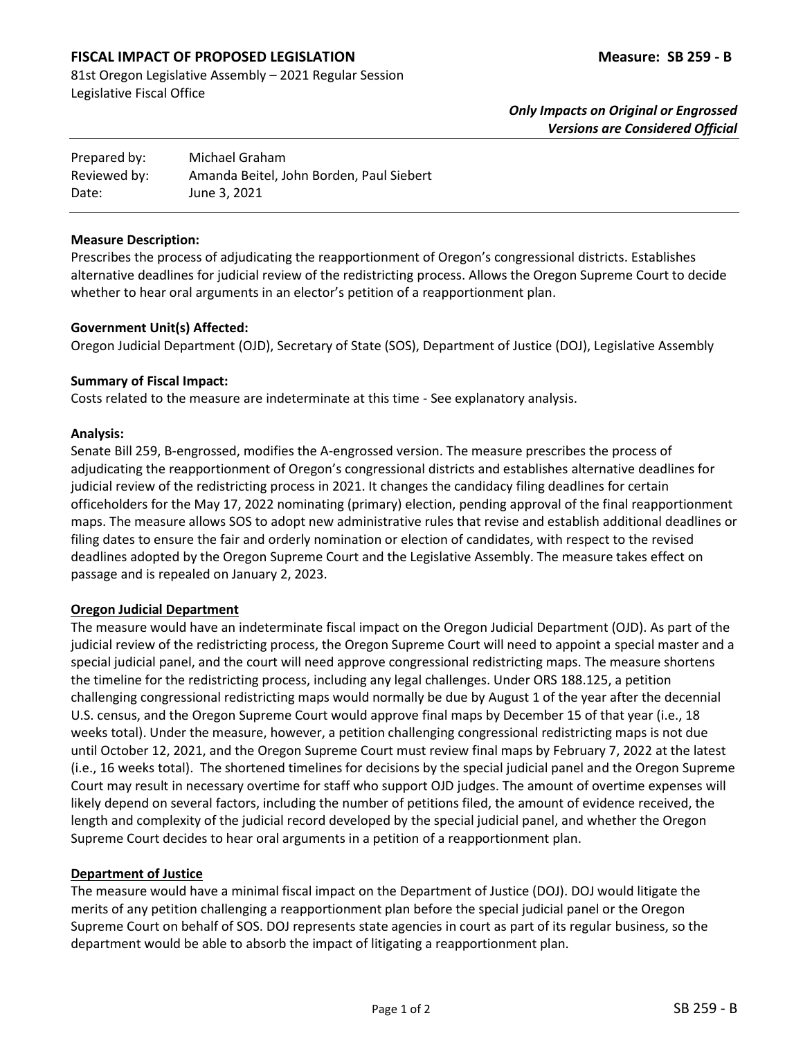# **FISCAL IMPACT OF PROPOSED LEGISLATION Measure: SB 259 - B**

81st Oregon Legislative Assembly – 2021 Regular Session Legislative Fiscal Office

| Prepared by: | Michael Graham                           |
|--------------|------------------------------------------|
| Reviewed by: | Amanda Beitel, John Borden, Paul Siebert |
| Date:        | June 3, 2021                             |

#### **Measure Description:**

Prescribes the process of adjudicating the reapportionment of Oregon's congressional districts. Establishes alternative deadlines for judicial review of the redistricting process. Allows the Oregon Supreme Court to decide whether to hear oral arguments in an elector's petition of a reapportionment plan.

#### **Government Unit(s) Affected:**

Oregon Judicial Department (OJD), Secretary of State (SOS), Department of Justice (DOJ), Legislative Assembly

#### **Summary of Fiscal Impact:**

Costs related to the measure are indeterminate at this time - See explanatory analysis.

#### **Analysis:**

Senate Bill 259, B-engrossed, modifies the A-engrossed version. The measure prescribes the process of adjudicating the reapportionment of Oregon's congressional districts and establishes alternative deadlines for judicial review of the redistricting process in 2021. It changes the candidacy filing deadlines for certain officeholders for the May 17, 2022 nominating (primary) election, pending approval of the final reapportionment maps. The measure allows SOS to adopt new administrative rules that revise and establish additional deadlines or filing dates to ensure the fair and orderly nomination or election of candidates, with respect to the revised deadlines adopted by the Oregon Supreme Court and the Legislative Assembly. The measure takes effect on passage and is repealed on January 2, 2023.

## **Oregon Judicial Department**

The measure would have an indeterminate fiscal impact on the Oregon Judicial Department (OJD). As part of the judicial review of the redistricting process, the Oregon Supreme Court will need to appoint a special master and a special judicial panel, and the court will need approve congressional redistricting maps. The measure shortens the timeline for the redistricting process, including any legal challenges. Under ORS 188.125, a petition challenging congressional redistricting maps would normally be due by August 1 of the year after the decennial U.S. census, and the Oregon Supreme Court would approve final maps by December 15 of that year (i.e., 18 weeks total). Under the measure, however, a petition challenging congressional redistricting maps is not due until October 12, 2021, and the Oregon Supreme Court must review final maps by February 7, 2022 at the latest (i.e., 16 weeks total). The shortened timelines for decisions by the special judicial panel and the Oregon Supreme Court may result in necessary overtime for staff who support OJD judges. The amount of overtime expenses will likely depend on several factors, including the number of petitions filed, the amount of evidence received, the length and complexity of the judicial record developed by the special judicial panel, and whether the Oregon Supreme Court decides to hear oral arguments in a petition of a reapportionment plan.

## **Department of Justice**

The measure would have a minimal fiscal impact on the Department of Justice (DOJ). DOJ would litigate the merits of any petition challenging a reapportionment plan before the special judicial panel or the Oregon Supreme Court on behalf of SOS. DOJ represents state agencies in court as part of its regular business, so the department would be able to absorb the impact of litigating a reapportionment plan.